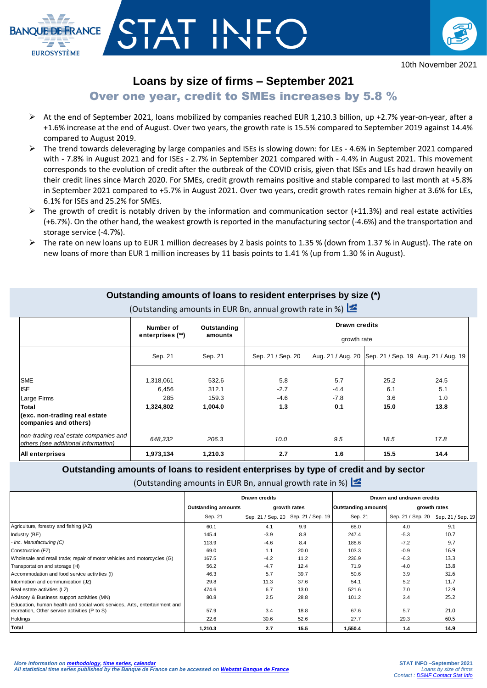

10th November 2021

## **Loans by size of firms – September 2021**

**BANQUE DE FRANCE** 

**EUROSYSTÈME** 

# Over one year, credit to SMEs increases by 5.8 %

- At the end of September 2021, loans mobilized by companies reached EUR 1,210.3 billion, up +2.7% year-on-year, after a +1.6% increase at the end of August. Over two years, the growth rate is 15.5% compared to September 2019 against 14.4% compared to August 2019.
- $\triangleright$  The trend towards deleveraging by large companies and ISEs is slowing down: for LEs 4.6% in September 2021 compared with - 7.8% in August 2021 and for ISEs - 2.7% in September 2021 compared with - 4.4% in August 2021. This movement corresponds to the evolution of credit after the outbreak of the COVID crisis, given that ISEs and LEs had drawn heavily on their credit lines since March 2020. For SMEs, credit growth remains positive and stable compared to last month at +5.8% in September 2021 compared to +5.7% in August 2021. Over two years, credit growth rates remain higher at 3.6% for LEs, 6.1% for ISEs and 25.2% for SMEs.
- $\triangleright$  The growth of credit is notably driven by the information and communication sector (+11.3%) and real estate activities (+6.7%). On the other hand, the weakest growth is reported in the manufacturing sector (-4.6%) and the transportation and storage service (-4.7%).
- $\triangleright$  The rate on new loans up to EUR 1 million decreases by 2 basis points to 1.35 % (down from 1.37 % in August). The rate on new loans of more than EUR 1 million increases by 11 basis points to 1.41 % (up from 1.30 % in August).

#### **Outstanding amounts of loans to resident enterprises by size (\*)**

|                                                                              | Number of<br>enterprises (**) | Outstanding<br>amounts | <b>Drawn credits</b><br>growth rate |        |      |                                                         |  |  |  |  |
|------------------------------------------------------------------------------|-------------------------------|------------------------|-------------------------------------|--------|------|---------------------------------------------------------|--|--|--|--|
|                                                                              |                               |                        |                                     |        |      |                                                         |  |  |  |  |
|                                                                              | Sep. 21                       | Sep. 21                | Sep. 21 / Sep. 20                   |        |      | Aug. 21 / Aug. 20   Sep. 21 / Sep. 19 Aug. 21 / Aug. 19 |  |  |  |  |
|                                                                              |                               |                        |                                     |        |      |                                                         |  |  |  |  |
| <b>SME</b>                                                                   | 1,318,061                     | 532.6                  | 5.8                                 | 5.7    | 25.2 | 24.5                                                    |  |  |  |  |
| <b>ISE</b>                                                                   | 6,456                         | 312.1                  | $-2.7$                              | $-4.4$ | 6.1  | 5.1                                                     |  |  |  |  |
| Large Firms                                                                  | 285                           | 159.3                  | $-4.6$                              | $-7.8$ | 3.6  | 1.0                                                     |  |  |  |  |
| Total                                                                        | 1,324,802                     | 1,004.0                | 1.3                                 | 0.1    | 15.0 | 13.8                                                    |  |  |  |  |
| (exc. non-trading real estate<br>companies and others)                       |                               |                        |                                     |        |      |                                                         |  |  |  |  |
| non-trading real estate companies and<br>others (see additional information) | 648,332                       | 206.3                  | 10.0                                | 9.5    | 18.5 | 17.8                                                    |  |  |  |  |
| All enterprises                                                              | 1,973,134                     | 1,210.3                | 2.7                                 | 1.6    | 15.5 | 14.4                                                    |  |  |  |  |

(Outstanding amounts in EUR Bn, annual growth rate in %)

## **Outstanding amounts of loans to resident enterprises by type of credit and by sector**

(Outstanding amounts in EUR Bn, annual growth rate in %)

|                                                                                                                            |                            | Drawn credits                       |      | Drawn and undrawn credits  |                                     |      |  |
|----------------------------------------------------------------------------------------------------------------------------|----------------------------|-------------------------------------|------|----------------------------|-------------------------------------|------|--|
|                                                                                                                            | <b>Outstanding amounts</b> | growth rates                        |      | <b>Outstanding amounts</b> | growth rates                        |      |  |
|                                                                                                                            | Sep. 21                    | Sep. 21 / Sep. 20 Sep. 21 / Sep. 19 |      | Sep. 21                    | Sep. 21 / Sep. 20 Sep. 21 / Sep. 19 |      |  |
| Agriculture, forestry and fishing (AZ)                                                                                     | 60.1                       | 4.1                                 | 9.9  | 68.0                       | 4.0                                 | 9.1  |  |
| Industry (BE)                                                                                                              | 145.4                      | $-3.9$                              | 8.8  | 247.4                      | $-5.3$                              | 10.7 |  |
| - inc. Manufacturing (C)                                                                                                   | 113.9                      | $-4.6$                              | 8.4  | 188.6                      | $-7.2$                              | 9.7  |  |
| Construction (FZ)                                                                                                          | 69.0                       | 1.1                                 | 20.0 | 103.3                      | $-0.9$                              | 16.9 |  |
| Wholesale and retail trade; repair of motor vehicles and motorcycles (G)                                                   | 167.5                      | $-4.2$                              | 11.2 | 236.9                      | $-6.3$                              | 13.3 |  |
| Transportation and storage (H)                                                                                             | 56.2                       | $-4.7$                              | 12.4 | 71.9                       | $-4.0$                              | 13.8 |  |
| Accommodation and food service activities (I)                                                                              | 46.3                       | 5.7                                 | 39.7 | 50.6                       | 3.9                                 | 32.6 |  |
| Information and communication (JZ)                                                                                         | 29.8                       | 11.3                                | 37.6 | 54.1                       | 5.2                                 | 11.7 |  |
| Real estate activities (LZ)                                                                                                | 474.6                      | 6.7                                 | 13.0 | 521.6                      | 7.0                                 | 12.9 |  |
| Advisory & Business support activities (MN)                                                                                | 80.8                       | 2.5                                 | 28.8 | 101.2                      | 3.4                                 | 25.2 |  |
| Education, human health and social work services, Arts, entertainment and<br>recreation, Other service activities (P to S) | 57.9                       | 3.4                                 | 18.8 | 67.6                       | 5.7                                 | 21.0 |  |
| Holdings                                                                                                                   | 22.6                       | 30.6                                | 52.6 | 27.7                       | 29.3                                | 60.5 |  |
| Total                                                                                                                      | 1,210.3                    | 2.7                                 | 15.5 | 1,550.4                    | 1.4                                 | 14.9 |  |